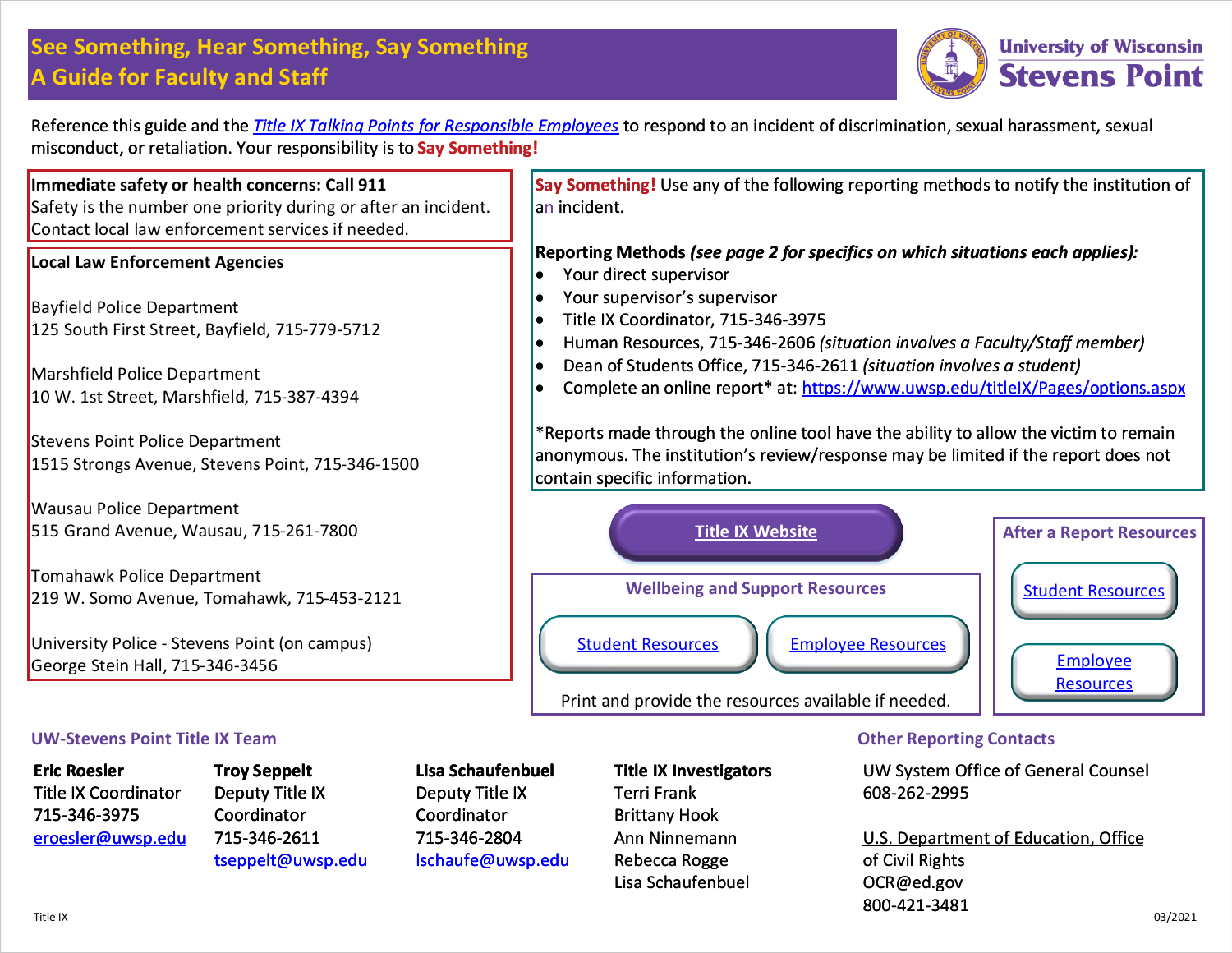# **See Something, Hear Something, Say Something A Guide for Faculty and Staff**



Reference this guide and the *Title IX Talking Points for Responsible Employees* [to respond to an incident of discrimination, sexual harassment, sexual](https://www.uwsp.edu/titleIX/Documents/TalkingPoints.pdf)  misconduct, or retaliation. Your responsibility is to **Say Something!**

**Immediate safety or health concerns: Call 911**  Safety is the number one priority during or after an incident. Contact local law enforcement services if needed.

#### **Local Law Enforcement Agencies**

Bayfield Police Department 125 South First Street, Bayfield, 715-779-5712

Marshfield Police Department 10 W. 1st Street, Marshfield, 715-387-4394

Stevens Point Police Department 1515 Strongs Avenue, Stevens Point, 715-346-1500

Wausau Police Department 515 Grand Avenue, Wausau, 715-261-7800

Tomahawk Police Department 219 W. Somo Avenue, Tomahawk, 715-453-2121

University Police - Stevens Point (on campus) George Stein Hall, 715-346-3456

#### **UW-Stevens Point Title IX Team**

**Eric Roesler** Title IX Coordinator 715-346-3975 [eroesler@uwsp.edu](mailto: eroesler@uwsp.edu)

**Troy Seppelt** Deputy Title IX Coordinator 715-346-2611 [tseppelt@uwsp.edu](mailto: tseppelt@uwsp.edu)

**Lisa Schaufenbuel** Deputy Title IX Coordinator 715-346-2804 [lschaufe@uwsp.edu](mailto: lschaufe@uwsp.edu) **Title IX Investigators** Terri Frank Brittany Hook Ann Ninnemann Rebecca Rogge Lisa Schaufenbuel

#### **Other Reporting Contacts**

[UW System Office of General Counsel](http://www2.ed.gov/about/offices/list/ocr/docs/howto.html) 608-262-2995

U.S. Department of Education, Office of Civil Rights OCR@ed.gov 800-421-3481

**Say Something!** Use any of the following reporting methods to notify the institution of an incident.

### **Reporting Methods** *(see page 2 for specifics on which situations each applies):*

- Your direct supervisor
- Your supervisor's supervisor
- **•** Title IX Coordinator, 715-346-3975
- Human Resources, 715-346-2606 *(situation involves a Faculty/Staff member)*
- Dean of Students Office, 715-346-2611 *(situation involves a student)*
- Complete an online report\* at: https://www.uwsp.edu/titleIX/Pages/options.aspx

[\\*Reports made through the online tool have the ability to allow the victim to remain](https://www.uwsp.edu/titleIX/Pages/options.aspx)  anonymous. The institution's review/response may be limited if the report does not contain specific information.